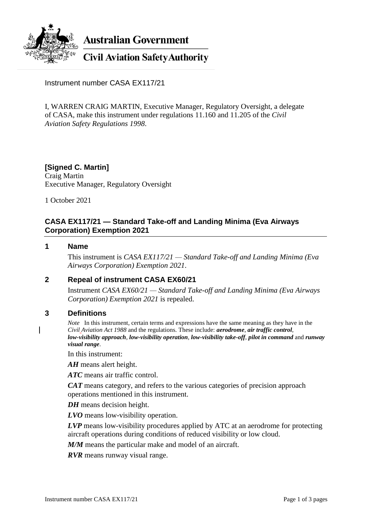

**Australian Government** 

**Civil Aviation Safety Authority** 

Instrument number CASA EX117/21

I, WARREN CRAIG MARTIN, Executive Manager, Regulatory Oversight, a delegate of CASA, make this instrument under regulations 11.160 and 11.205 of the *Civil Aviation Safety Regulations 1998*.

# **[Signed C. Martin]**

Craig Martin Executive Manager, Regulatory Oversight

1 October 2021

# **CASA EX117/21 — Standard Take-off and Landing Minima (Eva Airways Corporation) Exemption 2021**

### **1 Name**

This instrument is *CASA EX117/21 — Standard Take-off and Landing Minima (Eva Airways Corporation) Exemption 2021*.

# **2 Repeal of instrument CASA EX60/21**

Instrument *CASA EX60/21 — Standard Take-off and Landing Minima (Eva Airways Corporation) Exemption 2021* is repealed.

#### **3 Definitions**

*Note* In this instrument, certain terms and expressions have the same meaning as they have in the *Civil Aviation Act 1988* and the regulations. These include: *aerodrome*, *air traffic control*, *low-visibility approach*, *low-visibility operation*, *low-visibility take-off*, *pilot in command* and *runway visual range*.

In this instrument:

*AH* means alert height.

*ATC* means air traffic control.

*CAT* means category, and refers to the various categories of precision approach operations mentioned in this instrument.

*DH* means decision height.

*LVO* means low-visibility operation.

*LVP* means low-visibility procedures applied by ATC at an aerodrome for protecting aircraft operations during conditions of reduced visibility or low cloud.

*M/M* means the particular make and model of an aircraft.

*RVR* means runway visual range.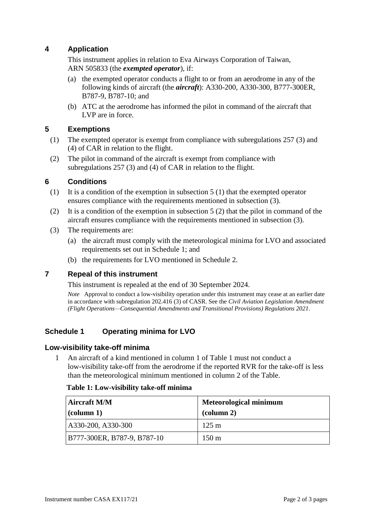# **4 Application**

This instrument applies in relation to Eva Airways Corporation of Taiwan, ARN 505833 (the *exempted operator*), if:

- (a) the exempted operator conducts a flight to or from an aerodrome in any of the following kinds of aircraft (the *aircraft*): A330-200, A330-300, B777-300ER, B787-9, B787-10; and
- (b) ATC at the aerodrome has informed the pilot in command of the aircraft that LVP are in force.

### **5 Exemptions**

- (1) The exempted operator is exempt from compliance with subregulations 257 (3) and (4) of CAR in relation to the flight.
- (2) The pilot in command of the aircraft is exempt from compliance with subregulations 257 (3) and (4) of CAR in relation to the flight.

### **6 Conditions**

- (1) It is a condition of the exemption in subsection 5 (1) that the exempted operator ensures compliance with the requirements mentioned in subsection (3).
- (2) It is a condition of the exemption in subsection  $5(2)$  that the pilot in command of the aircraft ensures compliance with the requirements mentioned in subsection (3).
- (3) The requirements are:
	- (a) the aircraft must comply with the meteorological minima for LVO and associated requirements set out in Schedule 1; and
	- (b) the requirements for LVO mentioned in Schedule 2.

# **7 Repeal of this instrument**

This instrument is repealed at the end of 30 September 2024.

*Note* Approval to conduct a low-visibility operation under this instrument may cease at an earlier date in accordance with subregulation 202.416 (3) of CASR. See the *Civil Aviation Legislation Amendment (Flight Operations—Consequential Amendments and Transitional Provisions) Regulations 2021*.

# **Schedule 1 Operating minima for LVO**

#### **Low-visibility take-off minima**

1 An aircraft of a kind mentioned in column 1 of Table 1 must not conduct a low-visibility take-off from the aerodrome if the reported RVR for the take-off is less than the meteorological minimum mentioned in column 2 of the Table.

|  | Table 1: Low-visibility take-off minima |  |  |
|--|-----------------------------------------|--|--|
|--|-----------------------------------------|--|--|

| <b>Aircraft M/M</b><br>$ $ (column 1) | <b>Meteorological minimum</b><br>$\alpha$ (column 2) |
|---------------------------------------|------------------------------------------------------|
| A330-200, A330-300                    | $125 \text{ m}$                                      |
| B777-300ER, B787-9, B787-10           | $150 \text{ m}$                                      |